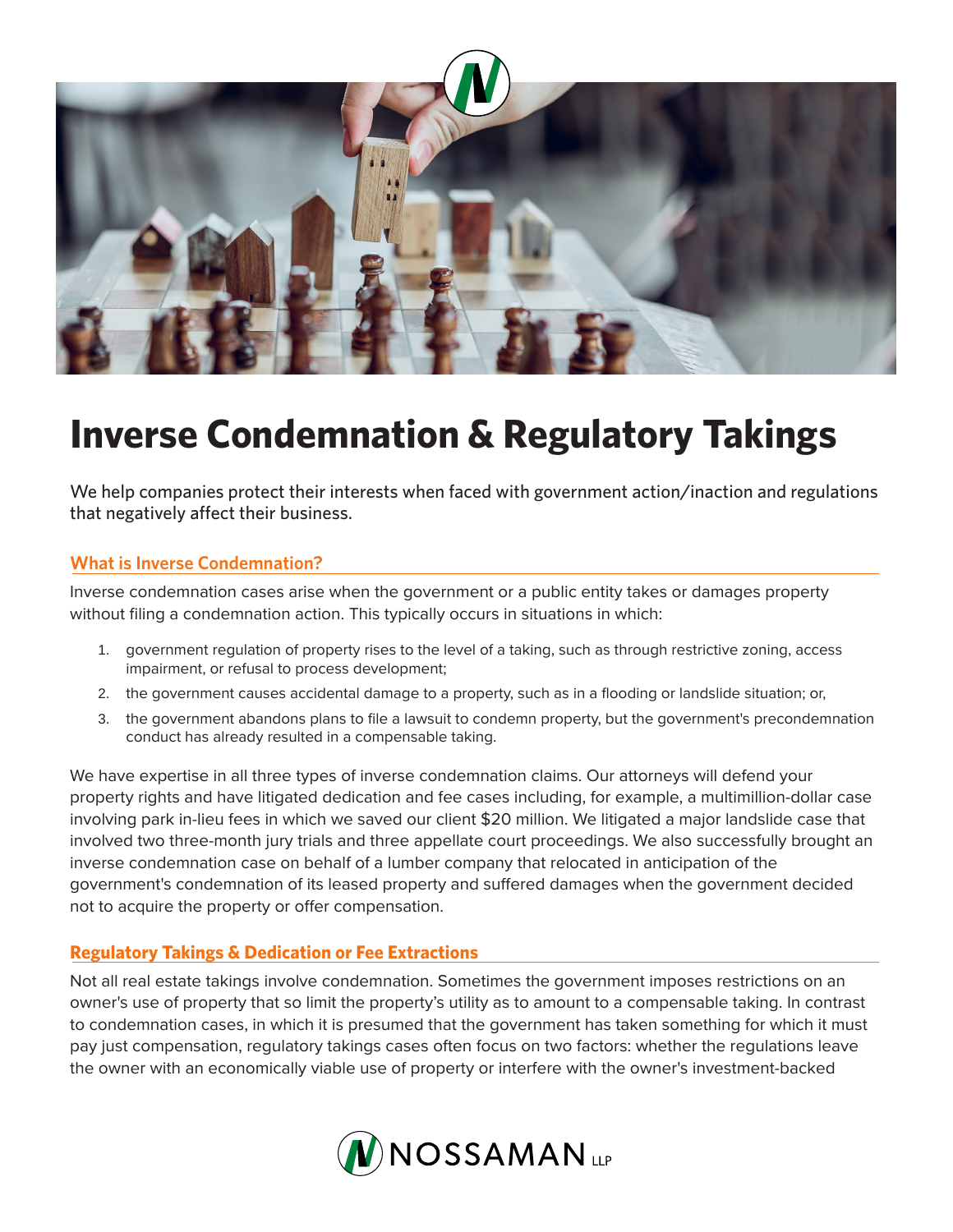

## **Inverse Condemnation & Regulatory Takings**

We help companies protect their interests when faced with government action/inaction and regulations that negatively affect their business.

## **What is Inverse Condemnation?**

Inverse condemnation cases arise when the government or a public entity takes or damages property without filing a condemnation action. This typically occurs in situations in which:

- 1. government regulation of property rises to the level of a taking, such as through restrictive zoning, access impairment, or refusal to process development;
- 2. the government causes accidental damage to a property, such as in a flooding or landslide situation; or,
- 3. the government abandons plans to file a lawsuit to condemn property, but the government's precondemnation conduct has already resulted in a compensable taking.

We have expertise in all three types of inverse condemnation claims. Our attorneys will defend your property rights and have litigated dedication and fee cases including, for example, a multimillion-dollar case involving park in-lieu fees in which we saved our client \$20 million. We litigated a major landslide case that involved two three-month jury trials and three appellate court proceedings. We also successfully brought an inverse condemnation case on behalf of a lumber company that relocated in anticipation of the government's condemnation of its leased property and suffered damages when the government decided not to acquire the property or offer compensation.

## **Regulatory Takings & Dedication or Fee Extractions**

Not all real estate takings involve condemnation. Sometimes the government imposes restrictions on an owner's use of property that so limit the property's utility as to amount to a compensable taking. In contrast to condemnation cases, in which it is presumed that the government has taken something for which it must pay just compensation, regulatory takings cases often focus on two factors: whether the regulations leave the owner with an economically viable use of property or interfere with the owner's investment-backed